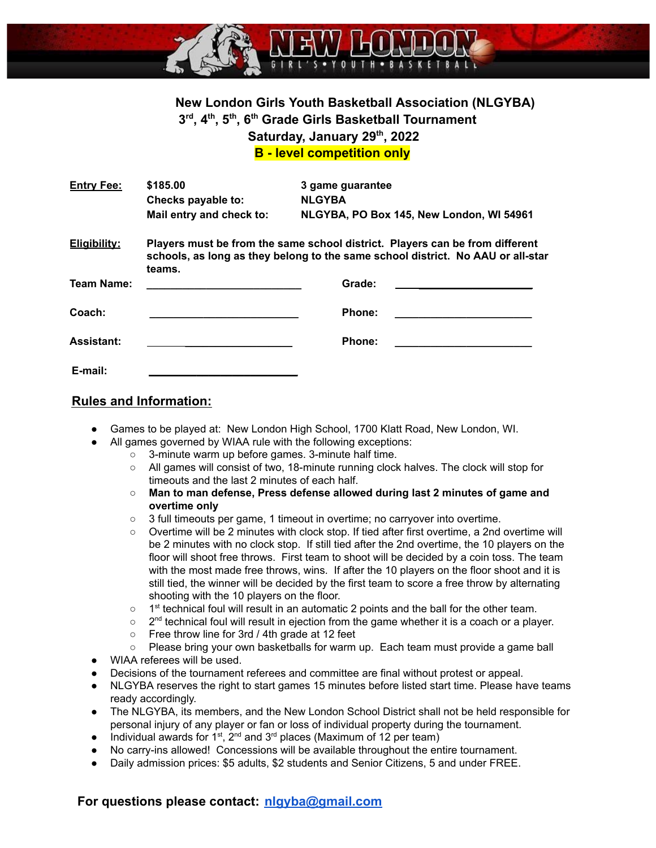

# **New London Girls Youth Basketball Association (NLGYBA) 3 rd , 4th , 5th , 6th Grade Girls Basketball Tournament Saturday, January 29th , 2022**

**B - level competition only**

| <b>Entry Fee:</b>   | \$185,00                                                                                                                                                                  | 3 game guarantee<br><b>NLGYBA</b> |  |  |
|---------------------|---------------------------------------------------------------------------------------------------------------------------------------------------------------------------|-----------------------------------|--|--|
|                     | Checks payable to:<br>Mail entry and check to:<br>NLGYBA, PO Box 145, New London, WI 54961                                                                                |                                   |  |  |
| <b>Eligibility:</b> | Players must be from the same school district. Players can be from different<br>schools, as long as they belong to the same school district. No AAU or all-star<br>teams. |                                   |  |  |
| <b>Team Name:</b>   |                                                                                                                                                                           | Grade:                            |  |  |
| Coach:              |                                                                                                                                                                           | Phone:                            |  |  |
| <b>Assistant:</b>   |                                                                                                                                                                           | Phone:                            |  |  |
| E-mail:             |                                                                                                                                                                           |                                   |  |  |

#### **Rules and Information:**

- Games to be played at: New London High School, 1700 Klatt Road, New London, WI.
	- All games governed by WIAA rule with the following exceptions:
		- 3-minute warm up before games. 3-minute half time.
		- All games will consist of two, 18-minute running clock halves. The clock will stop for timeouts and the last 2 minutes of each half.
		- **Man to man defense, Press defense allowed during last 2 minutes of game and overtime only**
		- 3 full timeouts per game, 1 timeout in overtime; no carryover into overtime.
		- Overtime will be 2 minutes with clock stop. If tied after first overtime, a 2nd overtime will be 2 minutes with no clock stop. If still tied after the 2nd overtime, the 10 players on the floor will shoot free throws. First team to shoot will be decided by a coin toss. The team with the most made free throws, wins. If after the 10 players on the floor shoot and it is still tied, the winner will be decided by the first team to score a free throw by alternating shooting with the 10 players on the floor.
		- $\circ$  1<sup>st</sup> technical foul will result in an automatic 2 points and the ball for the other team.
		- $\circ$  2<sup>nd</sup> technical foul will result in ejection from the game whether it is a coach or a player.
		- Free throw line for 3rd / 4th grade at 12 feet
		- Please bring your own basketballs for warm up. Each team must provide a game ball
- WIAA referees will be used.
- Decisions of the tournament referees and committee are final without protest or appeal.
- NLGYBA reserves the right to start games 15 minutes before listed start time. Please have teams ready accordingly.
- The NLGYBA, its members, and the New London School District shall not be held responsible for personal injury of any player or fan or loss of individual property during the tournament.
- Individual awards for 1<sup>st</sup>, 2<sup>nd</sup> and 3<sup>rd</sup> places (Maximum of 12 per team)
- No carry-ins allowed! Concessions will be available throughout the entire tournament.
- Daily admission prices: \$5 adults, \$2 students and Senior Citizens, 5 and under FREE.

### **For questions please contact: [nlgyba@gmail.com](mailto:nlgyba@gmail.com)**